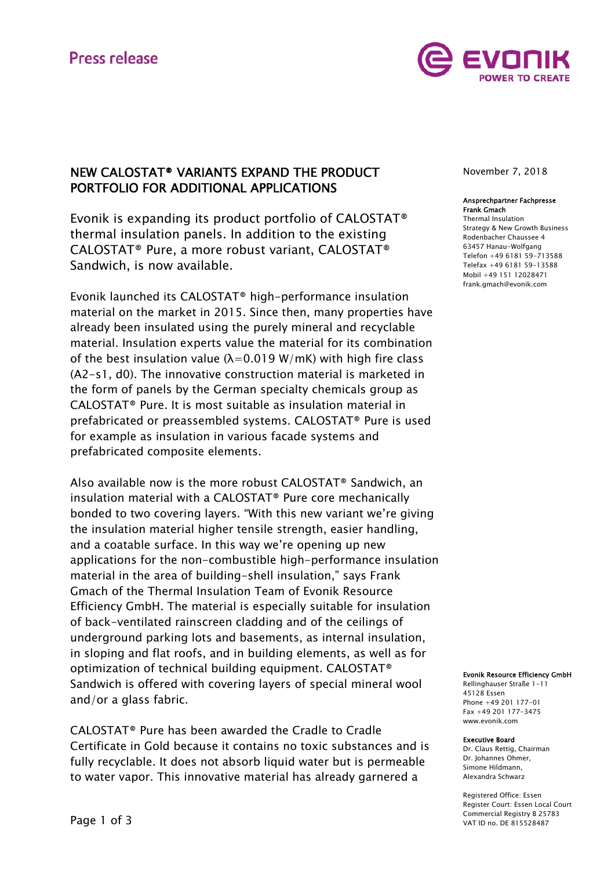# **Press release**



# NEW CALOSTAT® VARIANTS EXPAND THE PRODUCT PORTFOLIO FOR ADDITIONAL APPLICATIONS

Evonik is expanding its product portfolio of CALOSTAT® thermal insulation panels. In addition to the existing CALOSTAT® Pure, a more robust variant, CALOSTAT® Sandwich, is now available.

Evonik launched its CALOSTAT® high-performance insulation material on the market in 2015. Since then, many properties have already been insulated using the purely mineral and recyclable material. Insulation experts value the material for its combination of the best insulation value ( $\lambda$ =0.019 W/mK) with high fire class (A2-s1, d0). The innovative construction material is marketed in the form of panels by the German specialty chemicals group as CALOSTAT® Pure. It is most suitable as insulation material in prefabricated or preassembled systems. CALOSTAT® Pure is used for example as insulation in various facade systems and prefabricated composite elements.

Also available now is the more robust CALOSTAT® Sandwich, an insulation material with a CALOSTAT® Pure core mechanically bonded to two covering layers. "With this new variant we're giving the insulation material higher tensile strength, easier handling, and a coatable surface. In this way we're opening up new applications for the non-combustible high-performance insulation material in the area of building-shell insulation," says Frank Gmach of the Thermal Insulation Team of Evonik Resource Efficiency GmbH. The material is especially suitable for insulation of back-ventilated rainscreen cladding and of the ceilings of underground parking lots and basements, as internal insulation, in sloping and flat roofs, and in building elements, as well as for optimization of technical building equipment. CALOSTAT® Sandwich is offered with covering layers of special mineral wool and/or a glass fabric.

CALOSTAT® Pure has been awarded the Cradle to Cradle Certificate in Gold because it contains no toxic substances and is fully recyclable. It does not absorb liquid water but is permeable to water vapor. This innovative material has already garnered a

November 7, 2018

#### Ansprechpartner Fachpresse Frank Gmach

Thermal Insulation Strategy & New Growth Business Rodenbacher Chaussee 4 63457 Hanau-Wolfgang Telefon +49 6181 59-713588 Telefax +49 6181 59-13588 Mobil +49 151 12028471 frank.gmach@evonik.com

#### Evonik Resource Efficiency GmbH

Rellinghauser Straße 1-11 45128 Essen Phone +49 201 177-01 Fax +49 201 177-3475 www.evonik.com

#### Executive Board

Dr. Claus Rettig, Chairman Dr. Johannes Ohmer, Simone Hildmann, Alexandra Schwarz

Registered Office: Essen Register Court: Essen Local Court Commercial Registry B 25783 VAT ID no. DE 815528487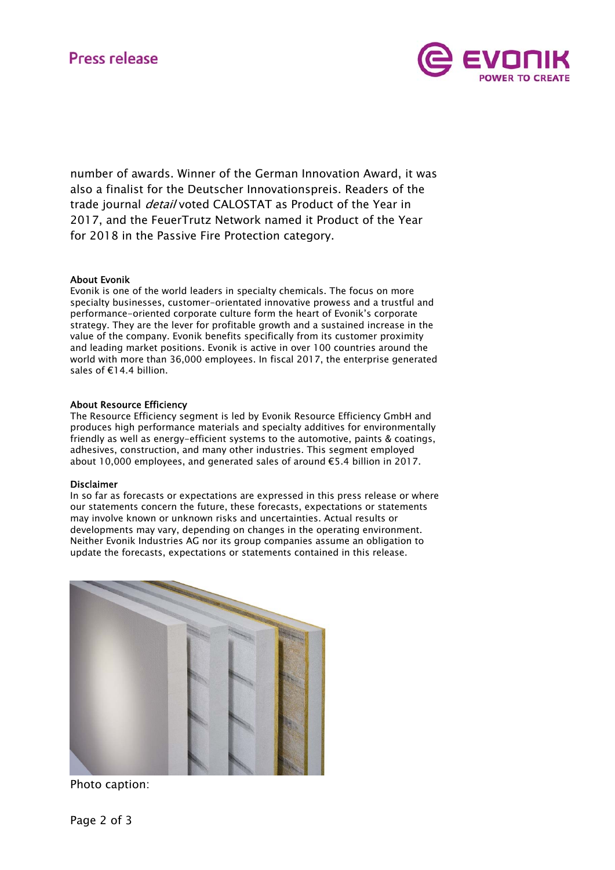

number of awards. Winner of the German Innovation Award, it was also a finalist for the Deutscher Innovationspreis. Readers of the trade journal *detail* voted CALOSTAT as Product of the Year in 2017, and the FeuerTrutz Network named it Product of the Year for 2018 in the Passive Fire Protection category.

## About Evonik

Evonik is one of the world leaders in specialty chemicals. The focus on more specialty businesses, customer-orientated innovative prowess and a trustful and performance-oriented corporate culture form the heart of Evonik's corporate strategy. They are the lever for profitable growth and a sustained increase in the value of the company. Evonik benefits specifically from its customer proximity and leading market positions. Evonik is active in over 100 countries around the world with more than 36,000 employees. In fiscal 2017, the enterprise generated sales of €14.4 billion.

## About Resource Efficiency

The Resource Efficiency segment is led by Evonik Resource Efficiency GmbH and produces high performance materials and specialty additives for environmentally friendly as well as energy-efficient systems to the automotive, paints & coatings, adhesives, construction, and many other industries. This segment employed about 10,000 employees, and generated sales of around €5.4 billion in 2017.

## Disclaimer

In so far as forecasts or expectations are expressed in this press release or where our statements concern the future, these forecasts, expectations or statements may involve known or unknown risks and uncertainties. Actual results or developments may vary, depending on changes in the operating environment. Neither Evonik Industries AG nor its group companies assume an obligation to update the forecasts, expectations or statements contained in this release.



Photo caption: